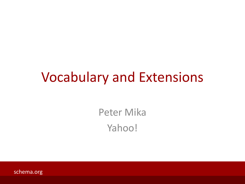#### Vocabulary and Extensions

Peter Mika Yahoo!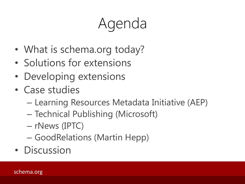# Agenda

- What is schema.org today?
- Solutions for extensions
- Developing extensions
- Case studies
	- Learning Resources Metadata Initiative (AEP)
	- Technical Publishing (Microsoft)
	- rNews (IPTC)
	- GoodRelations (Martin Hepp)
- Discussion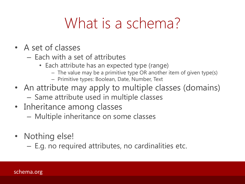### What is a schema?

- A set of classes
	- Each with a set of attributes
		- Each attribute has an expected type (range)
			- The value may be a primitive type OR another item of given type(s)
			- Primitive types: Boolean, Date, Number, Text
- An attribute may apply to multiple classes (domains)
	- Same attribute used in multiple classes
- Inheritance among classes
	- Multiple inheritance on some classes
- Nothing else!
	- E.g. no required attributes, no cardinalities etc.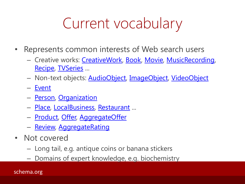### Current vocabulary

- Represents common interests of Web search users
	- Creative works: [CreativeWork](http://schema.org/CreativeWork), [Book](http://schema.org/Book), [Movie](http://schema.org/Movie), [MusicRecording,](http://schema.org/MusicRecording) [Recipe,](http://schema.org/Recipe) [TVSeries](http://schema.org/TVSeries) ...
	- Non-text objects: [AudioObject](http://schema.org/AudioObject), [ImageObject,](http://schema.org/ImageObject) [VideoObject](http://schema.org/VideoObject)
	- [Event](http://schema.org/Event)
	- [Person,](http://schema.org/Person) [Organization](http://schema.org/Organization)
	- [Place,](http://schema.org/Place) [LocalBusiness](http://schema.org/LocalBusiness), [Restaurant](http://schema.org/Restaurant) ...
	- [Product,](http://schema.org/Product) [Offer,](http://schema.org/Offer) [AggregateOffer](http://schema.org/AggregateOffer)
	- [Review](http://schema.org/Review), [AggregateRating](http://schema.org/AggregateRating)
- Not covered
	- Long tail, e.g. antique coins or banana stickers
	- Domains of expert knowledge, e.g. biochemistry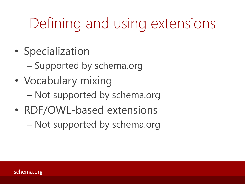## Defining and using extensions

- Specialization
	- Supported by schema.org
- Vocabulary mixing – Not supported by schema.org
- RDF/OWL-based extensions
	- Not supported by schema.org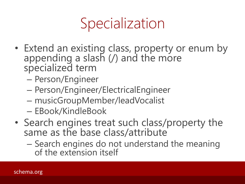### Specialization

- Extend an existing class, property or enum by appending a slash (/) and the more specialized term
	- Person/Engineer
	- Person/Engineer/ElectricalEngineer
	- musicGroupMember/leadVocalist
	- EBook/KindleBook
- Search engines treat such class/property the same as the base class/attribute
	- Search engines do not understand the meaning of the extension itself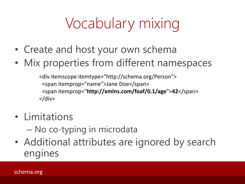# Vocabulary mixing

- Create and host your own schema
- Mix properties from different namespaces

<div itemscope itemtype="http://schema.org/Person"> <span itemprop="name">Jane Doe</span> <span itemprop="**http://xmlns.com/foaf/0.1/age**">**42**</span>  $\langle$ div $\rangle$ 

- Limitations
	- No co-typing in microdata
- Additional attributes are ignored by search engines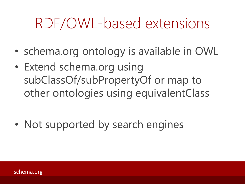### RDF/OWL-based extensions

- schema.org ontology is available in OWL
- Extend schema.org using subClassOf/subPropertyOf or map to other ontologies using equivalentClass
- Not supported by search engines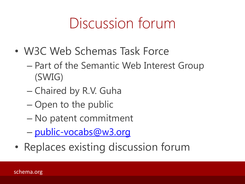### Discussion forum

- W3C Web Schemas Task Force
	- Part of the Semantic Web Interest Group (SWIG)
	- Chaired by R.V. Guha
	- Open to the public
	- No patent commitment
	- [public-vocabs@w3.org](mailto:public-vocabs@w3.org)
- Replaces existing discussion forum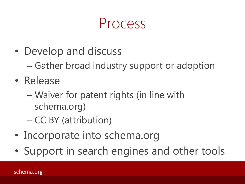#### Process

- Develop and discuss
	- Gather broad industry support or adoption
- Release
	- Waiver for patent rights (in line with schema.org)
	- CC BY (attribution)
- Incorporate into schema.org
- Support in search engines and other tools